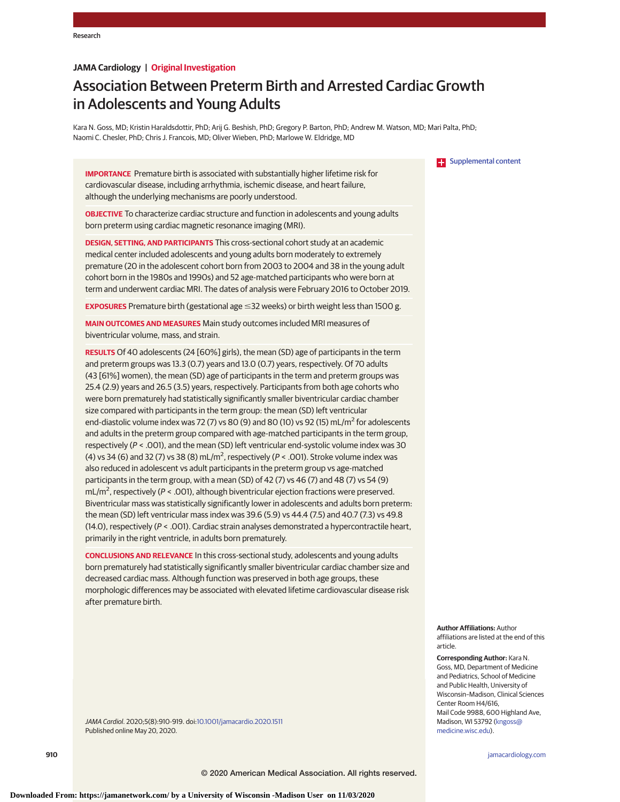## **JAMA Cardiology | Original Investigation**

# Association Between Preterm Birth and Arrested Cardiac Growth in Adolescents and Young Adults

Kara N. Goss, MD; Kristin Haraldsdottir, PhD; Arij G. Beshish, PhD; Gregory P. Barton, PhD; Andrew M. Watson, MD; Mari Palta, PhD; Naomi C. Chesler, PhD; Chris J. Francois, MD; Oliver Wieben, PhD; Marlowe W. Eldridge, MD

**IMPORTANCE** Premature birth is associated with substantially higher lifetime risk for cardiovascular disease, including arrhythmia, ischemic disease, and heart failure, although the underlying mechanisms are poorly understood.

**OBJECTIVE** To characterize cardiac structure and function in adolescents and young adults born preterm using cardiac magnetic resonance imaging (MRI).

**DESIGN, SETTING, AND PARTICIPANTS** This cross-sectional cohort study at an academic medical center included adolescents and young adults born moderately to extremely premature (20 in the adolescent cohort born from 2003 to 2004 and 38 in the young adult cohort born in the 1980s and 1990s) and 52 age-matched participants who were born at term and underwent cardiac MRI. The dates of analysis were February 2016 to October 2019.

**EXPOSURES** Premature birth (gestational age ≤32 weeks) or birth weight less than 1500 g.

**MAIN OUTCOMES AND MEASURES** Main study outcomes included MRI measures of biventricular volume, mass, and strain.

**RESULTS** Of 40 adolescents (24 [60%] girls), the mean (SD) age of participants in the term and preterm groups was 13.3 (0.7) years and 13.0 (0.7) years, respectively. Of 70 adults (43 [61%] women), the mean (SD) age of participants in the term and preterm groups was 25.4 (2.9) years and 26.5 (3.5) years, respectively. Participants from both age cohorts who were born prematurely had statistically significantly smaller biventricular cardiac chamber size compared with participants in the term group: the mean (SD) left ventricular end-diastolic volume index was 72 (7) vs 80 (9) and 80 (10) vs 92 (15) mL/ $m<sup>2</sup>$  for adolescents and adults in the preterm group compared with age-matched participants in the term group, respectively (P < .001), and the mean (SD) left ventricular end-systolic volume index was 30 (4) vs 34 (6) and 32 (7) vs 38 (8) mL/m<sup>2</sup>, respectively ( $P < .001$ ). Stroke volume index was also reduced in adolescent vs adult participants in the preterm group vs age-matched participants in the term group, with a mean (SD) of 42 (7) vs 46 (7) and 48 (7) vs 54 (9)  $mL/m<sup>2</sup>$ , respectively (P < .001), although biventricular ejection fractions were preserved. Biventricular mass was statistically significantly lower in adolescents and adults born preterm: the mean (SD) left ventricular mass index was 39.6 (5.9) vs 44.4 (7.5) and 40.7 (7.3) vs 49.8 (14.0), respectively ( $P < .001$ ). Cardiac strain analyses demonstrated a hypercontractile heart, primarily in the right ventricle, in adults born prematurely.

**CONCLUSIONS AND RELEVANCE** In this cross-sectional study, adolescents and young adults born prematurely had statistically significantly smaller biventricular cardiac chamber size and decreased cardiac mass. Although function was preserved in both age groups, these morphologic differences may be associated with elevated lifetime cardiovascular disease risk after premature birth.

JAMA Cardiol. 2020;5(8):910-919. doi[:10.1001/jamacardio.2020.1511](https://jamanetwork.com/journals/jama/fullarticle/10.1001/jamacardio.2020.1511?utm_campaign=articlePDF%26utm_medium=articlePDFlink%26utm_source=articlePDF%26utm_content=jamacardio.2020.1511) Published online May 20, 2020.



**Author Affiliations:** Author affiliations are listed at the end of this article.

**Corresponding Author:** Kara N. Goss, MD, Department of Medicine and Pediatrics, School of Medicine and Public Health, University of Wisconsin–Madison, Clinical Sciences Center Room H4/616, Mail Code 9988, 600 Highland Ave, Madison, WI 53792 [\(kngoss@](mailto:kngoss@medicine.wisc.edu) [medicine.wisc.edu\)](mailto:kngoss@medicine.wisc.edu).

**910 (Reprinted)** [jamacardiology.com](http://www.jamacardiology.com?utm_campaign=articlePDF%26utm_medium=articlePDFlink%26utm_source=articlePDF%26utm_content=jamacardio.2020.1511)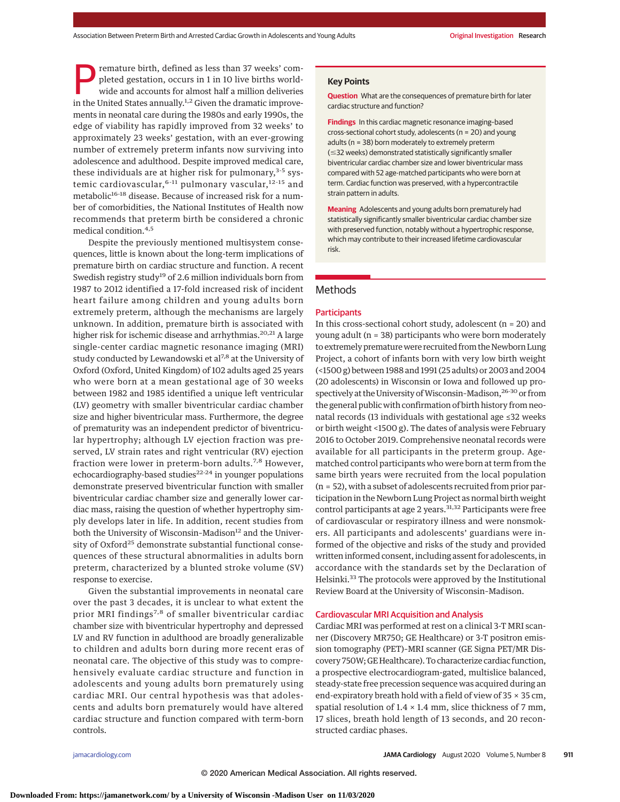remature birth, defined as less than 37 weeks' completed gestation, occurs in 1 in 10 live births worldwide and accounts for almost half a million deliveries in the United States annually.<sup>1,2</sup> Given the dramatic improvements in neonatal care during the 1980s and early 1990s, the edge of viability has rapidly improved from 32 weeks' to approximately 23 weeks' gestation, with an ever-growing number of extremely preterm infants now surviving into adolescence and adulthood. Despite improved medical care, these individuals are at higher risk for pulmonary,<sup>3-5</sup> systemic cardiovascular, <sup>6-11</sup> pulmonary vascular, <sup>12-15</sup> and metabolic<sup>16-18</sup> disease. Because of increased risk for a number of comorbidities, the National Institutes of Health now recommends that preterm birth be considered a chronic medical condition.<sup>4,5</sup>

Despite the previously mentioned multisystem consequences, little is known about the long-term implications of premature birth on cardiac structure and function. A recent Swedish registry study<sup>19</sup> of 2.6 million individuals born from 1987 to 2012 identified a 17-fold increased risk of incident heart failure among children and young adults born extremely preterm, although the mechanisms are largely unknown. In addition, premature birth is associated with higher risk for ischemic disease and arrhythmias.<sup>20,21</sup> A large single-center cardiac magnetic resonance imaging (MRI) study conducted by Lewandowski et al<sup>7,8</sup> at the University of Oxford (Oxford, United Kingdom) of 102 adults aged 25 years who were born at a mean gestational age of 30 weeks between 1982 and 1985 identified a unique left ventricular (LV) geometry with smaller biventricular cardiac chamber size and higher biventricular mass. Furthermore, the degree of prematurity was an independent predictor of biventricular hypertrophy; although LV ejection fraction was preserved, LV strain rates and right ventricular (RV) ejection fraction were lower in preterm-born adults.<sup>7,8</sup> However, echocardiography-based studies $22-24$  in younger populations demonstrate preserved biventricular function with smaller biventricular cardiac chamber size and generally lower cardiac mass, raising the question of whether hypertrophy simply develops later in life. In addition, recent studies from both the University of Wisconsin-Madison<sup>12</sup> and the University of Oxford<sup>25</sup> demonstrate substantial functional consequences of these structural abnormalities in adults born preterm, characterized by a blunted stroke volume (SV) response to exercise.

Given the substantial improvements in neonatal care over the past 3 decades, it is unclear to what extent the prior MRI findings<sup>7,8</sup> of smaller biventricular cardiac chamber size with biventricular hypertrophy and depressed LV and RV function in adulthood are broadly generalizable to children and adults born during more recent eras of neonatal care. The objective of this study was to comprehensively evaluate cardiac structure and function in adolescents and young adults born prematurely using cardiac MRI. Our central hypothesis was that adolescents and adults born prematurely would have altered cardiac structure and function compared with term-born controls.

#### **Key Points**

**Question** What are the consequences of premature birth for later cardiac structure and function?

**Findings** In this cardiac magnetic resonance imaging–based cross-sectional cohort study, adolescents (n = 20) and young adults (n = 38) born moderately to extremely preterm (≤32 weeks) demonstrated statistically significantly smaller biventricular cardiac chamber size and lower biventricular mass compared with 52 age-matched participants who were born at term. Cardiac function was preserved, with a hypercontractile strain pattern in adults.

**Meaning** Adolescents and young adults born prematurely had statistically significantly smaller biventricular cardiac chamber size with preserved function, notably without a hypertrophic response, which may contribute to their increased lifetime cardiovascular risk.

# Methods

#### **Participants**

In this cross-sectional cohort study, adolescent ( $n = 20$ ) and young adult (n = 38) participants who were born moderately to extremely premature were recruited from the Newborn Lung Project, a cohort of infants born with very low birth weight (<1500 g) between 1988 and 1991 (25 adults) or 2003 and 2004 (20 adolescents) in Wisconsin or Iowa and followed up prospectively at the University of Wisconsin-Madison,<sup>26-30</sup> or from the general public with confirmation of birth history from neonatal records (13 individuals with gestational age ≤32 weeks or birth weight <1500 g). The dates of analysis were February 2016 to October 2019. Comprehensive neonatal records were available for all participants in the preterm group. Agematched control participants who were born at term from the same birth years were recruited from the local population (n = 52), with a subset of adolescents recruited from prior participation in the Newborn Lung Project as normal birth weight control participants at age 2 years.<sup>31,32</sup> Participants were free of cardiovascular or respiratory illness and were nonsmokers. All participants and adolescents' guardians were informed of the objective and risks of the study and provided written informed consent, including assent for adolescents, in accordance with the standards set by the Declaration of Helsinki.<sup>33</sup> The protocols were approved by the Institutional Review Board at the University of Wisconsin–Madison.

#### Cardiovascular MRI Acquisition and Analysis

Cardiac MRI was performed at rest on a clinical 3-T MRI scanner (Discovery MR750; GE Healthcare) or 3-T positron emission tomography (PET)–MRI scanner (GE Signa PET/MR Discovery 750W; GE Healthcare). To characterize cardiac function, a prospective electrocardiogram-gated, multislice balanced, steady-state free precession sequence was acquired during an end-expiratory breath hold with a field of view of 35 × 35 cm, spatial resolution of  $1.4 \times 1.4$  mm, slice thickness of 7 mm, 17 slices, breath hold length of 13 seconds, and 20 reconstructed cardiac phases.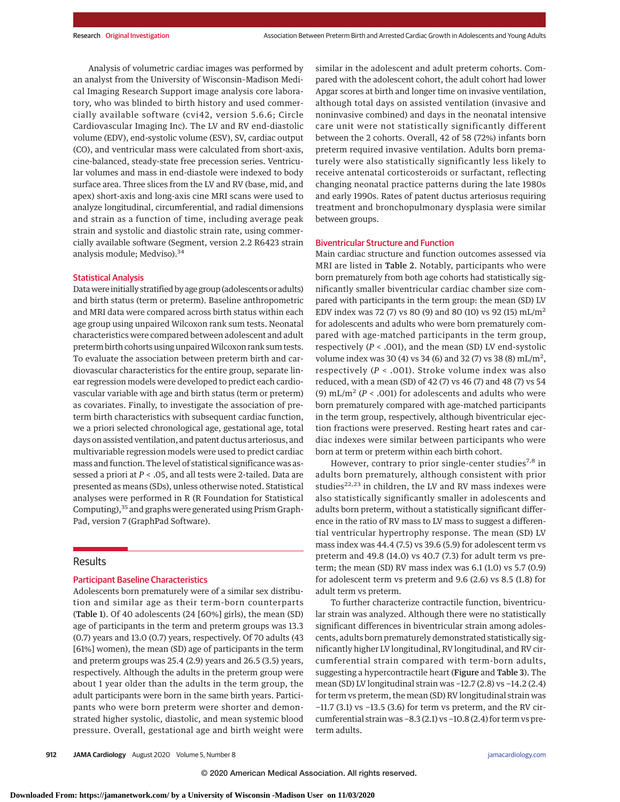Analysis of volumetric cardiac images was performed by an analyst from the University of Wisconsin–Madison Medical Imaging Research Support image analysis core laboratory, who was blinded to birth history and used commercially available software (cvi42, version 5.6.6; Circle Cardiovascular Imaging Inc). The LV and RV end-diastolic volume (EDV), end-systolic volume (ESV), SV, cardiac output (CO), and ventricular mass were calculated from short-axis, cine-balanced, steady-state free precession series. Ventricular volumes and mass in end-diastole were indexed to body surface area. Three slices from the LV and RV (base, mid, and apex) short-axis and long-axis cine MRI scans were used to analyze longitudinal, circumferential, and radial dimensions and strain as a function of time, including average peak strain and systolic and diastolic strain rate, using commercially available software (Segment, version 2.2 R6423 strain analysis module; Medviso).<sup>34</sup>

### Statistical Analysis

Datawere initially stratified by age group (adolescents or adults) and birth status (term or preterm). Baseline anthropometric and MRI data were compared across birth status within each age group using unpaired Wilcoxon rank sum tests. Neonatal characteristics were compared between adolescent and adult preterm birth cohorts using unpaired Wilcoxon rank sum tests. To evaluate the association between preterm birth and cardiovascular characteristics for the entire group, separate linear regression models were developed to predict each cardiovascular variable with age and birth status (term or preterm) as covariates. Finally, to investigate the association of preterm birth characteristics with subsequent cardiac function, we a priori selected chronological age, gestational age, total days on assisted ventilation, and patent ductus arteriosus, and multivariable regression models were used to predict cardiac mass and function. The level of statistical significance was assessed a priori at *P* < .05, and all tests were 2-tailed. Data are presented as means (SDs), unless otherwise noted. Statistical analyses were performed in R (R Foundation for Statistical Computing),<sup>35</sup> and graphs were generated using Prism Graph-Pad, version 7 (GraphPad Software).

## Results

## Participant Baseline Characteristics

Adolescents born prematurely were of a similar sex distribution and similar age as their term-born counterparts (Table 1). Of 40 adolescents (24 [60%] girls), the mean (SD) age of participants in the term and preterm groups was 13.3 (0.7) years and 13.0 (0.7) years, respectively. Of 70 adults (43 [61%] women), the mean (SD) age of participants in the term and preterm groups was 25.4 (2.9) years and 26.5 (3.5) years, respectively. Although the adults in the preterm group were about 1 year older than the adults in the term group, the adult participants were born in the same birth years. Participants who were born preterm were shorter and demonstrated higher systolic, diastolic, and mean systemic blood pressure. Overall, gestational age and birth weight were similar in the adolescent and adult preterm cohorts. Compared with the adolescent cohort, the adult cohort had lower Apgar scores at birth and longer time on invasive ventilation, although total days on assisted ventilation (invasive and noninvasive combined) and days in the neonatal intensive care unit were not statistically significantly different between the 2 cohorts. Overall, 42 of 58 (72%) infants born preterm required invasive ventilation. Adults born prematurely were also statistically significantly less likely to receive antenatal corticosteroids or surfactant, reflecting changing neonatal practice patterns during the late 1980s and early 1990s. Rates of patent ductus arteriosus requiring treatment and bronchopulmonary dysplasia were similar between groups.

#### Biventricular Structure and Function

Main cardiac structure and function outcomes assessed via MRI are listed in Table 2. Notably, participants who were born prematurely from both age cohorts had statistically significantly smaller biventricular cardiac chamber size compared with participants in the term group: the mean (SD) LV EDV index was 72 (7) vs 80 (9) and 80 (10) vs 92 (15)  $mL/m<sup>2</sup>$ for adolescents and adults who were born prematurely compared with age-matched participants in the term group, respectively (*P* < .001), and the mean (SD) LV end-systolic volume index was 30 (4) vs 34 (6) and 32 (7) vs 38 (8) mL/m<sup>2</sup>, respectively (*P* < .001). Stroke volume index was also reduced, with a mean (SD) of 42 (7) vs 46 (7) and 48 (7) vs 54 (9)  $mL/m^2$  ( $P < .001$ ) for adolescents and adults who were born prematurely compared with age-matched participants in the term group, respectively, although biventricular ejection fractions were preserved. Resting heart rates and cardiac indexes were similar between participants who were born at term or preterm within each birth cohort.

However, contrary to prior single-center studies<sup>7,8</sup> in adults born prematurely, although consistent with prior studies<sup>22,23</sup> in children, the LV and RV mass indexes were also statistically significantly smaller in adolescents and adults born preterm, without a statistically significant difference in the ratio of RV mass to LV mass to suggest a differential ventricular hypertrophy response. The mean (SD) LV mass index was 44.4 (7.5) vs 39.6 (5.9) for adolescent term vs preterm and 49.8 (14.0) vs 40.7 (7.3) for adult term vs preterm; the mean (SD) RV mass index was 6.1 (1.0) vs 5.7 (0.9) for adolescent term vs preterm and 9.6 (2.6) vs 8.5 (1.8) for adult term vs preterm.

To further characterize contractile function, biventricular strain was analyzed. Although there were no statistically significant differences in biventricular strain among adolescents, adults born prematurely demonstrated statistically significantly higher LV longitudinal, RV longitudinal, and RV circumferential strain compared with term-born adults, suggesting a hypercontractile heart (Figure and Table 3). The mean (SD) LV longitudinal strain was −12.7 (2.8) vs −14.2 (2.4) for term vs preterm, the mean (SD) RV longitudinal strain was −11.7 (3.1) vs −13.5 (3.6) for term vs preterm, and the RV circumferential strain was −8.3 (2.1) vs −10.8 (2.4) for term vs preterm adults.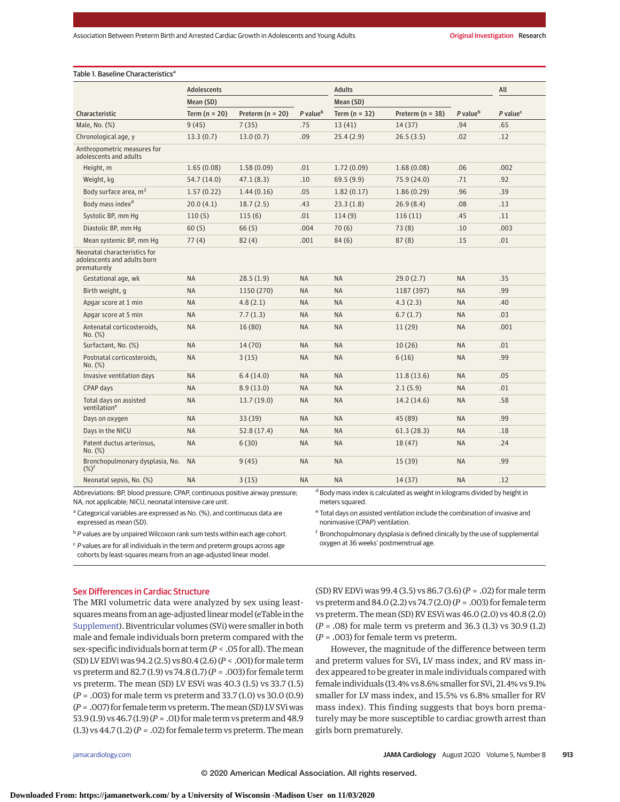|                                                                            | <b>Adolescents</b> |                      |                      | <b>Adults</b>   |                    |                      | All                  |
|----------------------------------------------------------------------------|--------------------|----------------------|----------------------|-----------------|--------------------|----------------------|----------------------|
|                                                                            | Mean (SD)          |                      |                      | Mean (SD)       |                    |                      |                      |
| Characteristic                                                             | Term $(n = 20)$    | Preterm ( $n = 20$ ) | P value <sup>b</sup> | Term $(n = 32)$ | Preterm $(n = 38)$ | P value <sup>b</sup> | P value <sup>c</sup> |
| Male, No. (%)                                                              | 9(45)              | 7(35)                | .75                  | 13(41)          | 14(37)             | .94                  | .65                  |
| Chronological age, y                                                       | 13.3(0.7)          | 13.0(0.7)            | .09                  | 25.4(2.9)       | 26.5(3.5)          | .02                  | .12                  |
| Anthropometric measures for<br>adolescents and adults                      |                    |                      |                      |                 |                    |                      |                      |
| Height, m                                                                  | 1.65(0.08)         | 1.58(0.09)           | .01                  | 1.72(0.09)      | 1.68(0.08)         | .06                  | .002                 |
| Weight, kg                                                                 | 54.7 (14.0)        | 47.1(8.3)            | .10                  | 69.5(9.9)       | 75.9 (24.0)        | .71                  | .92                  |
| Body surface area, m <sup>2</sup>                                          | 1.57(0.22)         | 1.44(0.16)           | .05                  | 1.82(0.17)      | 1.86(0.29)         | .96                  | .39                  |
| Body mass index <sup>d</sup>                                               | 20.0(4.1)          | 18.7(2.5)            | .43                  | 23.3(1.8)       | 26.9(8.4)          | .08                  | .13                  |
| Systolic BP, mm Hq                                                         | 110(5)             | 115(6)               | .01                  | 114(9)          | 116(11)            | .45                  | .11                  |
| Diastolic BP, mm Hq                                                        | 60(5)              | 66(5)                | .004                 | 70(6)           | 73(8)              | .10                  | .003                 |
| Mean systemic BP, mm Hq                                                    | 77(4)              | 82(4)                | .001                 | 84(6)           | 87(8)              | .15                  | .01                  |
| Neonatal characteristics for<br>adolescents and adults born<br>prematurely |                    |                      |                      |                 |                    |                      |                      |
| Gestational age, wk                                                        | <b>NA</b>          | 28.5(1.9)            | <b>NA</b>            | <b>NA</b>       | 29.0(2.7)          | <b>NA</b>            | .35                  |
| Birth weight, q                                                            | <b>NA</b>          | 1150 (270)           | <b>NA</b>            | <b>NA</b>       | 1187 (397)         | <b>NA</b>            | .99                  |
| Apgar score at 1 min                                                       | <b>NA</b>          | 4.8(2.1)             | <b>NA</b>            | <b>NA</b>       | 4.3(2.3)           | <b>NA</b>            | .40                  |
| Apgar score at 5 min                                                       | <b>NA</b>          | 7.7(1.3)             | <b>NA</b>            | <b>NA</b>       | 6.7(1.7)           | <b>NA</b>            | .03                  |
| Antenatal corticosteroids,<br>No. (%)                                      | <b>NA</b>          | 16 (80)              | <b>NA</b>            | <b>NA</b>       | 11 (29)            | <b>NA</b>            | .001                 |
| Surfactant, No. (%)                                                        | <b>NA</b>          | 14(70)               | <b>NA</b>            | <b>NA</b>       | 10(26)             | <b>NA</b>            | .01                  |
| Postnatal corticosteroids,<br>No. (%)                                      | <b>NA</b>          | 3(15)                | <b>NA</b>            | <b>NA</b>       | 6(16)              | <b>NA</b>            | .99                  |
| Invasive ventilation days                                                  | <b>NA</b>          | 6.4(14.0)            | <b>NA</b>            | <b>NA</b>       | 11.8(13.6)         | <b>NA</b>            | .05                  |
| CPAP days                                                                  | <b>NA</b>          | 8.9(13.0)            | <b>NA</b>            | <b>NA</b>       | 2.1(5.9)           | <b>NA</b>            | .01                  |
| Total days on assisted<br>ventilation <sup>e</sup>                         | <b>NA</b>          | 13.7(19.0)           | <b>NA</b>            | <b>NA</b>       | 14.2(14.6)         | <b>NA</b>            | .58                  |
| Days on oxygen                                                             | <b>NA</b>          | 33 (39)              | <b>NA</b>            | <b>NA</b>       | 45 (89)            | <b>NA</b>            | .99                  |
| Days in the NICU                                                           | <b>NA</b>          | 52.8 (17.4)          | <b>NA</b>            | <b>NA</b>       | 61.3(28.3)         | <b>NA</b>            | .18                  |
| Patent ductus arteriosus,<br>No. (%)                                       | <b>NA</b>          | 6(30)                | <b>NA</b>            | <b>NA</b>       | 18(47)             | <b>NA</b>            | .24                  |
| Bronchopulmonary dysplasia, No.<br>$(\%)^{\dagger}$                        | <b>NA</b>          | 9(45)                | <b>NA</b>            | <b>NA</b>       | 15(39)             | <b>NA</b>            | .99                  |
| Neonatal sepsis, No. (%)                                                   | <b>NA</b>          | 3(15)                | <b>NA</b>            | <b>NA</b>       | 14(37)             | <b>NA</b>            | .12                  |

Abbreviations: BP, blood pressure; CPAP, continuous positive airway pressure; NA, not applicable; NICU, neonatal intensive care unit.

<sup>a</sup> Categorical variables are expressed as No. (%), and continuous data are expressed as mean (SD).

 $b$  P values are by unpaired Wilcoxon rank sum tests within each age cohort.

 $c$  P values are for all individuals in the term and preterm groups across age

cohorts by least-squares means from an age-adjusted linear model.

<sup>d</sup> Body mass index is calculated as weight in kilograms divided by height in meters squared.

<sup>e</sup> Total days on assisted ventilation include the combination of invasive and noninvasive (CPAP) ventilation.

<sup>f</sup> Bronchopulmonary dysplasia is defined clinically by the use of supplemental oxygen at 36 weeks' postmenstrual age.

### Sex Differences in Cardiac Structure

The MRI volumetric data were analyzed by sex using leastsquares means from an age-adjusted linear model (eTable in the [Supplement\)](https://jamanetwork.com/journals/jama/fullarticle/10.1001/jamacardio.2020.1511?utm_campaign=articlePDF%26utm_medium=articlePDFlink%26utm_source=articlePDF%26utm_content=jamacardio.2020.1511). Biventricular volumes (SVi) were smaller in both male and female individuals born preterm compared with the sex-specific individuals born at term (*P* < .05 for all). Themean (SD) LV EDViwas 94.2 (2.5) vs 80.4 (2.6) (*P* < .001) formale term vs preterm and 82.7 (1.9) vs 74.8 (1.7) (*P* = .003) for female term vs preterm. The mean (SD) LV ESVi was 40.3 (1.5) vs 33.7 (1.5) (*P* = .003) for male term vs preterm and 33.7 (1.0) vs 30.0 (0.9) (*P* = .007) for female term vs preterm. Themean (SD) LV SViwas 53.9 (1.9) vs 46.7 (1.9) (*P* = .01) formale term vs preterm and 48.9 (1.3) vs  $44.7$  (1.2) ( $P = .02$ ) for female term vs preterm. The mean

(SD) RV EDVi was 99.4 (3.5) vs 86.7 (3.6) (*P* = .02) for male term vs preterm and 84.0 (2.2) vs 74.7 (2.0) (*P* = .003) for female term vs preterm. The mean (SD) RV ESVi was 46.0 (2.0) vs 40.8 (2.0) (*P* = .08) for male term vs preterm and 36.3 (1.3) vs 30.9 (1.2) (*P* = .003) for female term vs preterm.

However, the magnitude of the difference between term and preterm values for SVi, LV mass index, and RV mass index appeared to be greater in male individuals compared with female individuals (13.4% vs 8.6% smaller for SVi, 21.4% vs 9.1% smaller for LV mass index, and 15.5% vs 6.8% smaller for RV mass index). This finding suggests that boys born prematurely may be more susceptible to cardiac growth arrest than girls born prematurely.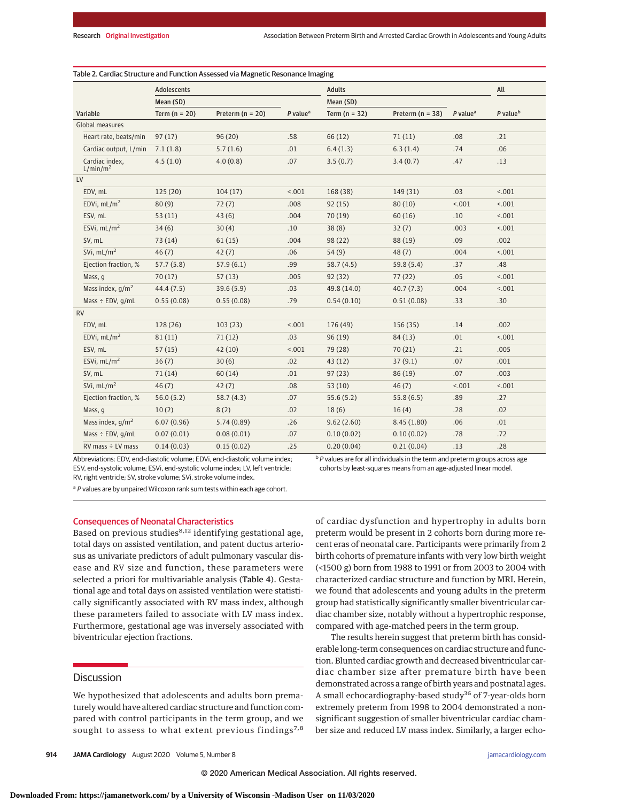|                                        | <b>Adolescents</b> |                      |                                     | <b>Adults</b>   |                      |                                     | All                  |
|----------------------------------------|--------------------|----------------------|-------------------------------------|-----------------|----------------------|-------------------------------------|----------------------|
| Variable                               | Mean (SD)          |                      |                                     | Mean (SD)       |                      |                                     |                      |
|                                        | Term ( $n = 20$ )  | Preterm ( $n = 20$ ) | $P$ value <sup><math>a</math></sup> | Term $(n = 32)$ | Preterm ( $n = 38$ ) | $P$ value <sup><math>a</math></sup> | P value <sup>b</sup> |
| <b>Global measures</b>                 |                    |                      |                                     |                 |                      |                                     |                      |
| Heart rate, beats/min                  | 97(17)             | 96(20)               | .58                                 | 66(12)          | 71(11)               | .08                                 | .21                  |
| Cardiac output, L/min                  | 7.1(1.8)           | 5.7(1.6)             | .01                                 | 6.4(1.3)        | 6.3(1.4)             | .74                                 | .06                  |
| Cardiac index,<br>L/min/m <sup>2</sup> | 4.5(1.0)           | 4.0(0.8)             | .07                                 | 3.5(0.7)        | 3.4(0.7)             | .47                                 | .13                  |
| LV                                     |                    |                      |                                     |                 |                      |                                     |                      |
| EDV, mL                                | 125(20)            | 104(17)              | 15.001                              | 168 (38)        | 149 (31)             | .03                                 | 1001                 |
| EDVi, $mL/m2$                          | 80(9)              | 72(7)                | .008                                | 92(15)          | 80(10)               | < .001                              | < .001               |
| ESV, mL                                | 53(11)             | 43(6)                | .004                                | 70(19)          | 60(16)               | .10                                 | < .001               |
| ESVi, $mL/m2$                          | 34(6)              | 30(4)                | .10                                 | 38(8)           | 32(7)                | .003                                | < .001               |
| SV, mL                                 | 73(14)             | 61(15)               | .004                                | 98(22)          | 88 (19)              | .09                                 | .002                 |
| SVi. $mL/m2$                           | 46(7)              | 42(7)                | .06                                 | 54(9)           | 48(7)                | .004                                | 1001                 |
| Ejection fraction, %                   | 57.7(5.8)          | 57.9(6.1)            | .99                                 | 58.7(4.5)       | 59.8(5.4)            | .37                                 | .48                  |
| Mass, q                                | 70(17)             | 57(13)               | .005                                | 92(32)          | 77(22)               | .05                                 | 1001                 |
| Mass index, $q/m^2$                    | 44.4 (7.5)         | 39.6(5.9)            | .03                                 | 49.8 (14.0)     | 40.7(7.3)            | .004                                | 1001                 |
| Mass $\div$ EDV, g/mL                  | 0.55(0.08)         | 0.55(0.08)           | .79                                 | 0.54(0.10)      | 0.51(0.08)           | .33                                 | .30                  |
| <b>RV</b>                              |                    |                      |                                     |                 |                      |                                     |                      |
| EDV, mL                                | 128 (26)           | 103(23)              | 15.001                              | 176 (49)        | 156(35)              | .14                                 | .002                 |
| EDVi. $mL/m2$                          | 81(11)             | 71(12)               | .03                                 | 96(19)          | 84 (13)              | .01                                 | 1001                 |
| ESV, mL                                | 57(15)             | 42(10)               | 15.001                              | 79 (28)         | 70(21)               | .21                                 | .005                 |
| ESVi, $mL/m2$                          | 36(7)              | 30(6)                | .02                                 | 43(12)          | 37(9.1)              | .07                                 | .001                 |
| SV, mL                                 | 71(14)             | 60(14)               | .01                                 | 97(23)          | 86 (19)              | .07                                 | .003                 |
| SVi, $mL/m2$                           | 46(7)              | 42(7)                | .08                                 | 53(10)          | 46(7)                | 15.001                              | 1001                 |
| Ejection fraction, %                   | 56.0(5.2)          | 58.7(4.3)            | .07                                 | 55.6(5.2)       | 55.8(6.5)            | .89                                 | .27                  |
| Mass, q                                | 10(2)              | 8(2)                 | .02                                 | 18(6)           | 16(4)                | .28                                 | .02                  |
| Mass index, $q/m^2$                    | 6.07(0.96)         | 5.74(0.89)           | .26                                 | 9.62(2.60)      | 8.45(1.80)           | .06                                 | .01                  |
| Mass $\div$ EDV, g/mL                  | 0.07(0.01)         | 0.08(0.01)           | .07                                 | 0.10(0.02)      | 0.10(0.02)           | .78                                 | .72                  |
| $RV$ mass $\div$ LV mass               | 0.14(0.03)         | 0.15(0.02)           | .25                                 | 0.20(0.04)      | 0.21(0.04)           | .13                                 | .28                  |

Abbreviations: EDV, end-diastolic volume; EDVi, end-diastolic volume index; ESV, end-systolic volume; ESVi, end-systolic volume index; LV, left ventricle; RV, right ventricle; SV, stroke volume; SVi, stroke volume index.

 $b$  P values are for all individuals in the term and preterm groups across age cohorts by least-squares means from an age-adjusted linear model.

of cardiac dysfunction and hypertrophy in adults born preterm would be present in 2 cohorts born during more recent eras of neonatal care. Participants were primarily from 2 birth cohorts of premature infants with very low birth weight (<1500 g) born from 1988 to 1991 or from 2003 to 2004 with characterized cardiac structure and function by MRI. Herein, we found that adolescents and young adults in the preterm group had statistically significantly smaller biventricular cardiac chamber size, notably without a hypertrophic response, compared with age-matched peers in the term group.

The results herein suggest that preterm birth has considerable long-term consequences on cardiac structure and function. Blunted cardiac growth and decreased biventricular cardiac chamber size after premature birth have been demonstrated across a range of birth years and postnatal ages. A small echocardiography-based study<sup>36</sup> of 7-year-olds born extremely preterm from 1998 to 2004 demonstrated a nonsignificant suggestion of smaller biventricular cardiac chamber size and reduced LV mass index. Similarly, a larger echo-

<sup>a</sup> P values are by unpaired Wilcoxon rank sum tests within each age cohort.

## Consequences of Neonatal Characteristics

Based on previous studies<sup>8,12</sup> identifying gestational age, total days on assisted ventilation, and patent ductus arteriosus as univariate predictors of adult pulmonary vascular disease and RV size and function, these parameters were selected a priori for multivariable analysis (Table 4). Gestational age and total days on assisted ventilation were statistically significantly associated with RV mass index, although these parameters failed to associate with LV mass index. Furthermore, gestational age was inversely associated with biventricular ejection fractions.

## **Discussion**

We hypothesized that adolescents and adults born prematurely would have altered cardiac structure and function compared with control participants in the term group, and we sought to assess to what extent previous findings<sup>7,8</sup>

**914 JAMA Cardiology** August 2020 Volume 5, Number 8 **(Reprinted)** [jamacardiology.com](http://www.jamacardiology.com?utm_campaign=articlePDF%26utm_medium=articlePDFlink%26utm_source=articlePDF%26utm_content=jamacardio.2020.1511)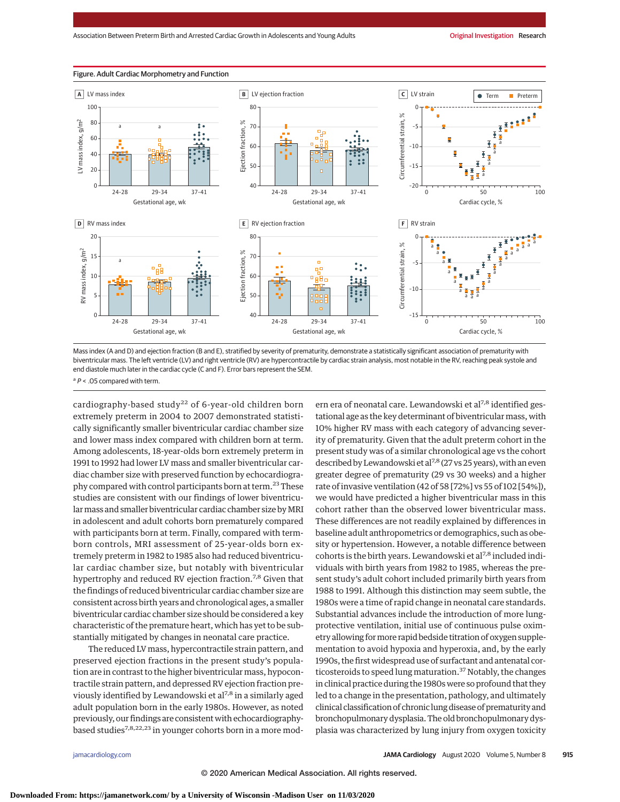

Figure. Adult Cardiac Morphometry and Function

Mass index (A and D) and ejection fraction (B and E), stratified by severity of prematurity, demonstrate a statistically significant association of prematurity with biventricular mass. The left ventricle (LV) and right ventricle (RV) are hypercontractile by cardiac strain analysis, most notable in the RV, reaching peak systole and end diastole much later in the cardiac cycle (C and F). Error bars represent the SEM.

 $a P < 0.05$  compared with term.

cardiography-based study<sup>22</sup> of 6-year-old children born extremely preterm in 2004 to 2007 demonstrated statistically significantly smaller biventricular cardiac chamber size and lower mass index compared with children born at term. Among adolescents, 18-year-olds born extremely preterm in 1991 to 1992 had lower LV mass and smaller biventricular cardiac chamber size with preserved function by echocardiography compared with control participants born at term.23These studies are consistent with our findings of lower biventricular mass and smaller biventricular cardiac chamber size by MRI in adolescent and adult cohorts born prematurely compared with participants born at term. Finally, compared with termborn controls, MRI assessment of 25-year-olds born extremely preterm in 1982 to 1985 also had reduced biventricular cardiac chamber size, but notably with biventricular hypertrophy and reduced RV ejection fraction.<sup>7,8</sup> Given that the findings of reduced biventricular cardiac chamber size are consistent across birth years and chronological ages, a smaller biventricular cardiac chamber size should be considered a key characteristic of the premature heart, which has yet to be substantially mitigated by changes in neonatal care practice.

The reduced LV mass, hypercontractile strain pattern, and preserved ejection fractions in the present study's population are in contrast to the higher biventricular mass, hypocontractile strain pattern, and depressed RV ejection fraction previously identified by Lewandowski et al<sup>7,8</sup> in a similarly aged adult population born in the early 1980s. However, as noted previously, our findings are consistent with echocardiographybased studies<sup>7,8,22,23</sup> in younger cohorts born in a more modern era of neonatal care. Lewandowski et al<sup>7,8</sup> identified gestational age as the key determinant of biventricular mass, with 10% higher RV mass with each category of advancing severity of prematurity. Given that the adult preterm cohort in the present study was of a similar chronological age vs the cohort described by Lewandowski et al<sup>7,8</sup> (27 vs 25 years), with an even greater degree of prematurity (29 vs 30 weeks) and a higher rate of invasive ventilation (42 of 58 [72%] vs 55 of 102 [54%]), we would have predicted a higher biventricular mass in this cohort rather than the observed lower biventricular mass. These differences are not readily explained by differences in baseline adult anthropometrics or demographics, such as obesity or hypertension. However, a notable difference between cohorts is the birth years. Lewandowski et al<sup>7,8</sup> included individuals with birth years from 1982 to 1985, whereas the present study's adult cohort included primarily birth years from 1988 to 1991. Although this distinction may seem subtle, the 1980s were a time of rapid change in neonatal care standards. Substantial advances include the introduction of more lungprotective ventilation, initial use of continuous pulse oximetry allowing formore rapid bedside titration of oxygen supplementation to avoid hypoxia and hyperoxia, and, by the early 1990s, the first widespread use of surfactant and antenatal corticosteroids to speed lung maturation.<sup>37</sup> Notably, the changes in clinical practice during the 1980s were so profound that they led to a change in the presentation, pathology, and ultimately clinical classification of chronic lung disease of prematurity and bronchopulmonary dysplasia. The old bronchopulmonary dysplasia was characterized by lung injury from oxygen toxicity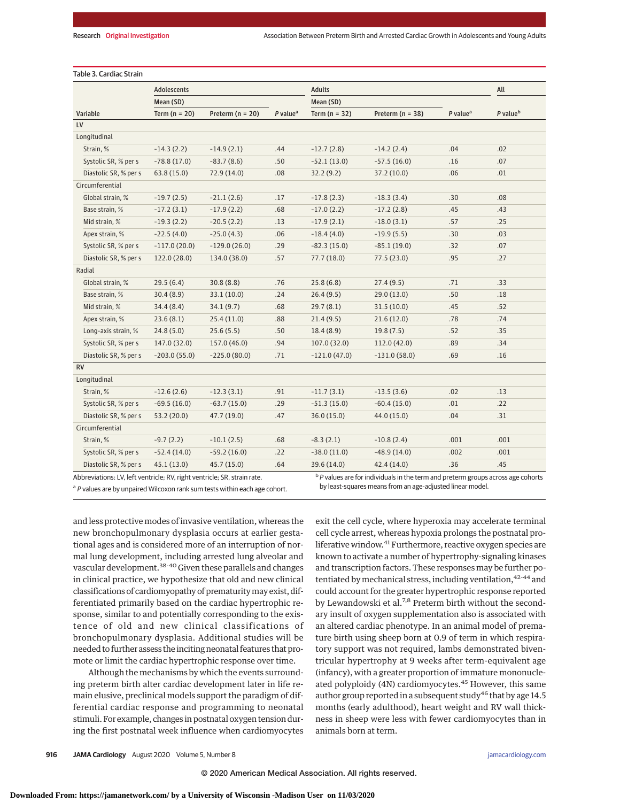|                       | <b>Adolescents</b> |                      |                      | <b>Adults</b>   |                      |                        | All                  |
|-----------------------|--------------------|----------------------|----------------------|-----------------|----------------------|------------------------|----------------------|
|                       | Mean (SD)          |                      |                      | Mean (SD)       |                      |                        |                      |
| Variable<br>LV        | Term ( $n = 20$ )  | Preterm ( $n = 20$ ) | P value <sup>a</sup> | Term $(n = 32)$ | Preterm ( $n = 38$ ) | $P$ value <sup>a</sup> | P value <sup>b</sup> |
| Longitudinal          |                    |                      |                      |                 |                      |                        |                      |
| Strain, %             | $-14.3(2.2)$       | $-14.9(2.1)$         | .44                  | $-12.7(2.8)$    | $-14.2(2.4)$         | .04                    | .02                  |
| Systolic SR, % per s  | $-78.8(17.0)$      | $-83.7(8.6)$         | .50                  | $-52.1(13.0)$   | $-57.5(16.0)$        | .16                    | .07                  |
| Diastolic SR, % per s | 63.8(15.0)         | 72.9 (14.0)          | .08                  | 32.2(9.2)       | 37.2(10.0)           | .06                    | .01                  |
| Circumferential       |                    |                      |                      |                 |                      |                        |                      |
| Global strain, %      | $-19.7(2.5)$       | $-21.1(2.6)$         | .17                  | $-17.8(2.3)$    | $-18.3(3.4)$         | .30                    | .08                  |
| Base strain, %        | $-17.2(3.1)$       | $-17.9(2.2)$         | .68                  | $-17.0(2.2)$    | $-17.2(2.8)$         | .45                    | .43                  |
|                       |                    | $-20.5(2.2)$         |                      | $-17.9(2.1)$    | $-18.0(3.1)$         |                        | .25                  |
| Mid strain, %         | $-19.3(2.2)$       |                      | .13                  |                 |                      | .57                    |                      |
| Apex strain, %        | $-22.5(4.0)$       | $-25.0(4.3)$         | .06                  | $-18.4(4.0)$    | $-19.9(5.5)$         | .30                    | .03                  |
| Systolic SR, % per s  | $-117.0(20.0)$     | $-129.0(26.0)$       | .29                  | $-82.3(15.0)$   | $-85.1(19.0)$        | .32                    | .07                  |
| Diastolic SR, % per s | 122.0 (28.0)       | 134.0 (38.0)         | .57                  | 77.7(18.0)      | 77.5(23.0)           | .95                    | .27                  |
| Radial                |                    |                      |                      |                 |                      |                        |                      |
| Global strain, %      | 29.5(6.4)          | 30.8(8.8)            | .76                  | 25.8(6.8)       | 27.4(9.5)            | .71                    | .33                  |
| Base strain, %        | 30.4(8.9)          | 33.1(10.0)           | .24                  | 26.4(9.5)       | 29.0(13.0)           | .50                    | .18                  |
| Mid strain, %         | 34.4(8.4)          | 34.1(9.7)            | .68                  | 29.7(8.1)       | 31.5(10.0)           | .45                    | .52                  |
| Apex strain, %        | 23.6(8.1)          | 25.4(11.0)           | .88                  | 21.4(9.5)       | 21.6(12.0)           | .78                    | .74                  |
| Long-axis strain, %   | 24.8(5.0)          | 25.6(5.5)            | .50                  | 18.4(8.9)       | 19.8(7.5)            | .52                    | .35                  |
| Systolic SR, % per s  | 147.0 (32.0)       | 157.0 (46.0)         | .94                  | 107.0(32.0)     | 112.0(42.0)          | .89                    | .34                  |
| Diastolic SR, % per s | $-203.0(55.0)$     | $-225.0(80.0)$       | .71                  | $-121.0(47.0)$  | $-131.0(58.0)$       | .69                    | .16                  |
| <b>RV</b>             |                    |                      |                      |                 |                      |                        |                      |
| Longitudinal          |                    |                      |                      |                 |                      |                        |                      |
| Strain, %             | $-12.6(2.6)$       | $-12.3(3.1)$         | .91                  | $-11.7(3.1)$    | $-13.5(3.6)$         | .02                    | .13                  |
| Systolic SR, % per s  | $-69.5(16.0)$      | $-63.7(15.0)$        | .29                  | $-51.3(15.0)$   | $-60.4(15.0)$        | .01                    | .22                  |
| Diastolic SR, % per s | 53.2 (20.0)        | 47.7 (19.0)          | .47                  | 36.0(15.0)      | 44.0(15.0)           | .04                    | .31                  |
| Circumferential       |                    |                      |                      |                 |                      |                        |                      |
| Strain, %             | $-9.7(2.2)$        | $-10.1(2.5)$         | .68                  | $-8.3(2.1)$     | $-10.8(2.4)$         | .001                   | .001                 |
| Systolic SR, % per s  | $-52.4(14.0)$      | $-59.2(16.0)$        | .22                  | $-38.0(11.0)$   | $-48.9(14.0)$        | .002                   | .001                 |
| Diastolic SR, % per s | 45.1(13.0)         | 45.7 (15.0)          | .64                  | 39.6 (14.0)     | 42.4(14.0)           | .36                    | .45                  |
|                       |                    |                      |                      |                 |                      |                        |                      |

### Table 3. Cardiac Strain

Abbreviations: LV, left ventricle; RV, right ventricle; SR, strain rate.

<sup>a</sup> P values are by unpaired Wilcoxon rank sum tests within each age cohort.

 $b$  P values are for individuals in the term and preterm groups across age cohorts by least-squares means from an age-adjusted linear model.

and less protective modes of invasive ventilation, whereas the new bronchopulmonary dysplasia occurs at earlier gestational ages and is considered more of an interruption of normal lung development, including arrested lung alveolar and vascular development.38-40 Given these parallels and changes in clinical practice, we hypothesize that old and new clinical classifications of cardiomyopathy of prematuritymay exist, differentiated primarily based on the cardiac hypertrophic response, similar to and potentially corresponding to the existence of old and new clinical classifications of bronchopulmonary dysplasia. Additional studies will be needed to further assess the inciting neonatal features that promote or limit the cardiac hypertrophic response over time.

Although the mechanisms by which the events surrounding preterm birth alter cardiac development later in life remain elusive, preclinical models support the paradigm of differential cardiac response and programming to neonatal stimuli. For example, changes in postnatal oxygen tension during the first postnatal week influence when cardiomyocytes exit the cell cycle, where hyperoxia may accelerate terminal cell cycle arrest, whereas hypoxia prolongs the postnatal proliferative window.<sup>41</sup> Furthermore, reactive oxygen species are known to activate a number of hypertrophy-signaling kinases and transcription factors. These responses may be further potentiated by mechanical stress, including ventilation, 42-44 and could account for the greater hypertrophic response reported by Lewandowski et al.<sup>7,8</sup> Preterm birth without the secondary insult of oxygen supplementation also is associated with an altered cardiac phenotype. In an animal model of premature birth using sheep born at 0.9 of term in which respiratory support was not required, lambs demonstrated biventricular hypertrophy at 9 weeks after term-equivalent age (infancy), with a greater proportion of immature mononucleated polyploidy (4N) cardiomyocytes.<sup>45</sup> However, this same author group reported in a subsequent study $46$  that by age 14.5 months (early adulthood), heart weight and RV wall thickness in sheep were less with fewer cardiomyocytes than in animals born at term.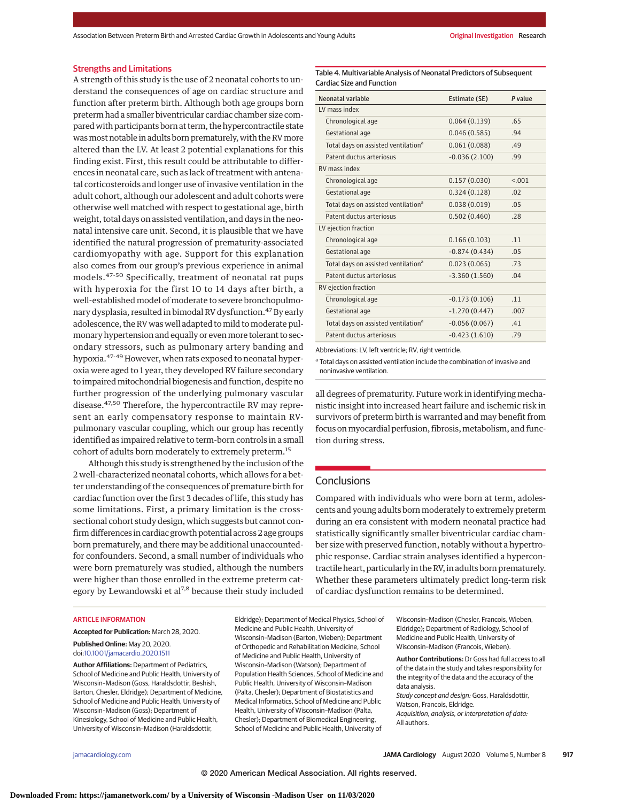#### Strengths and Limitations

A strength of this study is the use of 2 neonatal cohorts to understand the consequences of age on cardiac structure and function after preterm birth. Although both age groups born preterm had a smaller biventricular cardiac chamber size compared with participants born at term, the hypercontractile state was most notable in adults born prematurely, with the RV more altered than the LV. At least 2 potential explanations for this finding exist. First, this result could be attributable to differences in neonatal care, such as lack of treatment with antenatal corticosteroids and longer use of invasive ventilation in the adult cohort, although our adolescent and adult cohorts were otherwise well matched with respect to gestational age, birth weight, total days on assisted ventilation, and days in the neonatal intensive care unit. Second, it is plausible that we have identified the natural progression of prematurity-associated cardiomyopathy with age. Support for this explanation also comes from our group's previous experience in animal models.47-50 Specifically, treatment of neonatal rat pups with hyperoxia for the first 10 to 14 days after birth, a well-established model of moderate to severe bronchopulmonary dysplasia, resulted in bimodal RV dysfunction.<sup>47</sup> By early adolescence, the RV was well adapted tomild tomoderate pulmonary hypertension and equally or evenmore tolerant to secondary stressors, such as pulmonary artery banding and hypoxia.<sup>47-49</sup> However, when rats exposed to neonatal hyperoxia were aged to 1 year, they developed RV failure secondary to impaired mitochondrial biogenesis and function, despite no further progression of the underlying pulmonary vascular disease.47,50 Therefore, the hypercontractile RV may represent an early compensatory response to maintain RVpulmonary vascular coupling, which our group has recently identified as impaired relative to term-born controls in a small cohort of adults born moderately to extremely preterm.<sup>15</sup>

Although this study is strengthened by the inclusion of the 2 well-characterized neonatal cohorts, which allows for a better understanding of the consequences of premature birth for cardiac function over the first 3 decades of life, this study has some limitations. First, a primary limitation is the crosssectional cohort study design, which suggests but cannot confirm differences in cardiac growth potential across 2 age groups born prematurely, and there may be additional unaccountedfor confounders. Second, a small number of individuals who were born prematurely was studied, although the numbers were higher than those enrolled in the extreme preterm category by Lewandowski et al<sup>7,8</sup> because their study included

#### ARTICLE INFORMATION

**Accepted for Publication:** March 28, 2020.

#### **Published Online:** May 20, 2020. doi[:10.1001/jamacardio.2020.1511](https://jamanetwork.com/journals/jama/fullarticle/10.1001/jamacardio.2020.1511?utm_campaign=articlePDF%26utm_medium=articlePDFlink%26utm_source=articlePDF%26utm_content=jamacardio.2020.1511)

**Author Affiliations:** Department of Pediatrics, School of Medicine and Public Health, University of Wisconsin–Madison (Goss, Haraldsdottir, Beshish, Barton, Chesler, Eldridge); Department of Medicine, School of Medicine and Public Health, University of Wisconsin–Madison (Goss); Department of Kinesiology, School of Medicine and Public Health, University of Wisconsin–Madison (Haraldsdottir,

Eldridge); Department of Medical Physics, School of Medicine and Public Health, University of Wisconsin–Madison (Barton, Wieben); Department of Orthopedic and Rehabilitation Medicine, School of Medicine and Public Health, University of Wisconsin–Madison (Watson); Department of Population Health Sciences, School of Medicine and Public Health, University of Wisconsin–Madison (Palta, Chesler); Department of Biostatistics and Medical Informatics, School of Medicine and Public Health, University of Wisconsin–Madison (Palta, Chesler); Department of Biomedical Engineering, School of Medicine and Public Health, University of

Table 4. Multivariable Analysis of Neonatal Predictors of Subsequent Cardiac Size and Function

| Neonatal variable                               | Estimate (SE)   | P value |  |  |
|-------------------------------------------------|-----------------|---------|--|--|
| LV mass index                                   |                 |         |  |  |
| Chronological age                               | 0.064(0.139)    | .65     |  |  |
| Gestational age                                 | 0.046(0.585)    | .94     |  |  |
| Total days on assisted ventilation <sup>a</sup> | 0.061(0.088)    | .49     |  |  |
| Patent ductus arteriosus                        | $-0.036(2.100)$ | .99     |  |  |
| RV mass index                                   |                 |         |  |  |
| Chronological age                               | 0.157(0.030)    | < 0.01  |  |  |
| Gestational age                                 | 0.324(0.128)    | .02     |  |  |
| Total days on assisted ventilation <sup>a</sup> | 0.038(0.019)    | .05     |  |  |
| Patent ductus arteriosus                        | 0.502(0.460)    | .28     |  |  |
| LV ejection fraction                            |                 |         |  |  |
| Chronological age                               | 0.166(0.103)    | .11     |  |  |
| Gestational age                                 | $-0.874(0.434)$ | .05     |  |  |
| Total days on assisted ventilation <sup>a</sup> | 0.023(0.065)    | .73     |  |  |
| Patent ductus arteriosus                        | $-3.360(1.560)$ | .04     |  |  |
| RV ejection fraction                            |                 |         |  |  |
| Chronological age                               | $-0.173(0.106)$ | .11     |  |  |
| Gestational age                                 | $-1.270(0.447)$ | .007    |  |  |
| Total days on assisted ventilation <sup>a</sup> | $-0.056(0.067)$ | .41     |  |  |
| Patent ductus arteriosus                        | $-0.423(1.610)$ | .79     |  |  |

Abbreviations: LV, left ventricle; RV, right ventricle.

<sup>a</sup> Total days on assisted ventilation include the combination of invasive and noninvasive ventilation.

all degrees of prematurity. Future work in identifying mechanistic insight into increased heart failure and ischemic risk in survivors of preterm birth is warranted and may benefit from focus on myocardial perfusion, fibrosis, metabolism, and function during stress.

#### Conclusions

Compared with individuals who were born at term, adolescents and young adults born moderately to extremely preterm during an era consistent with modern neonatal practice had statistically significantly smaller biventricular cardiac chamber size with preserved function, notably without a hypertrophic response. Cardiac strain analyses identified a hypercontractile heart, particularly in the RV, in adults born prematurely. Whether these parameters ultimately predict long-term risk of cardiac dysfunction remains to be determined.

> Wisconsin–Madison (Chesler, Francois, Wieben, Eldridge); Department of Radiology, School of Medicine and Public Health, University of Wisconsin–Madison (Francois, Wieben).

**Author Contributions:** Dr Goss had full access to all of the data in the study and takes responsibility for the integrity of the data and the accuracy of the data analysis. Study concept and design: Goss, Haraldsdottir,

Watson, Francois, Eldridge. Acquisition, analysis, or interpretation of data:

All authors.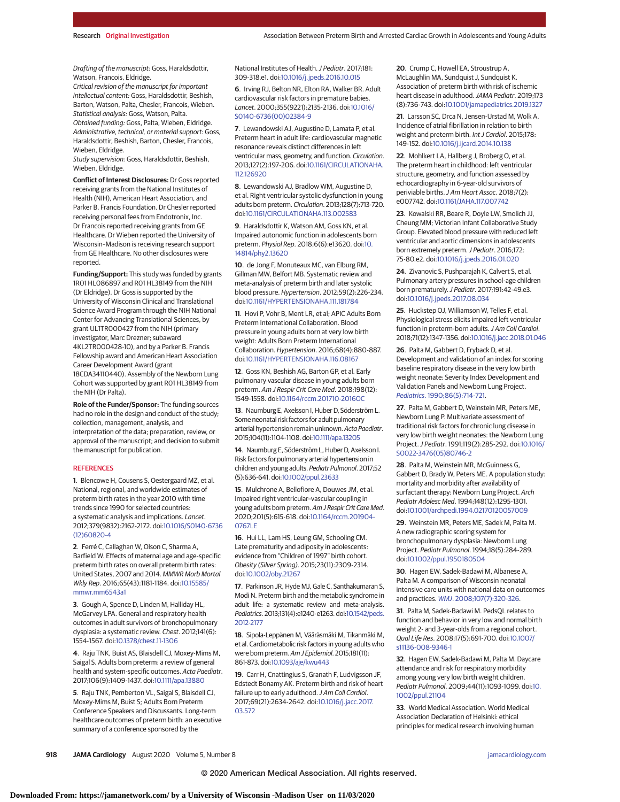Drafting of the manuscript: Goss, Haraldsdottir, Watson, Francois, Eldridge.

Critical revision of the manuscript for important intellectual content: Goss, Haraldsdottir, Beshish, Barton, Watson, Palta, Chesler, Francois, Wieben. Statistical analysis: Goss, Watson, Palta. Obtained funding: Goss, Palta, Wieben, Eldridge. Administrative, technical, or material support: Goss, Haraldsdottir, Beshish, Barton, Chesler, Francois, Wieben, Eldridge.

Study supervision: Goss, Haraldsdottir, Beshish, Wieben, Eldridge.

**Conflict of Interest Disclosures:** Dr Goss reported receiving grants from the National Institutes of Health (NIH), American Heart Association, and Parker B. Francis Foundation. Dr Chesler reported receiving personal fees from Endotronix, Inc. Dr Francois reported receiving grants from GE Healthcare. Dr Wieben reported the University of Wisconsin–Madison is receiving research support from GE Healthcare. No other disclosures were reported.

**Funding/Support:** This study was funded by grants 1R01 HL086897 and R01 HL38149 from the NIH (Dr Eldridge). Dr Goss is supported by the University of Wisconsin Clinical and Translational Science Award Program through the NIH National Center for Advancing Translational Sciences, by grant UL1TR000427 from the NIH (primary investigator, Marc Drezner; subaward 4KL2TR000428-10), and by a Parker B. Francis Fellowship award and American Heart Association Career Development Award (grant 18CDA34110440). Assembly of the Newborn Lung Cohort was supported by grant R01 HL38149 from the NIH (Dr Palta).

**Role of the Funder/Sponsor:** The funding sources had no role in the design and conduct of the study; collection, management, analysis, and interpretation of the data; preparation, review, or approval of the manuscript; and decision to submit the manuscript for publication.

#### **REFERENCES**

**1**. Blencowe H, Cousens S, Oestergaard MZ, et al. National, regional, and worldwide estimates of preterm birth rates in the year 2010 with time trends since 1990 for selected countries: a systematic analysis and implications. Lancet. 2012;379(9832):2162-2172. doi[:10.1016/S0140-6736](https://dx.doi.org/10.1016/S0140-6736(12)60820-4) [\(12\)60820-4](https://dx.doi.org/10.1016/S0140-6736(12)60820-4)

**2**. Ferré C, Callaghan W, Olson C, Sharma A, Barfield W. Effects of maternal age and age-specific preterm birth rates on overall preterm birth rates: United States, 2007 and 2014. MMWR Morb Mortal Wkly Rep. 2016;65(43):1181-1184. doi[:10.15585/](https://dx.doi.org/10.15585/mmwr.mm6543a1) [mmwr.mm6543a1](https://dx.doi.org/10.15585/mmwr.mm6543a1)

**3**. Gough A, Spence D, Linden M, Halliday HL, McGarvey LPA. General and respiratory health outcomes in adult survivors of bronchopulmonary dysplasia: a systematic review. Chest. 2012;141(6): 1554-1567. doi[:10.1378/chest.11-1306](https://dx.doi.org/10.1378/chest.11-1306)

**4**. Raju TNK, Buist AS, Blaisdell CJ, Moxey-Mims M, Saigal S. Adults born preterm: a review of general health and system-specific outcomes. Acta Paediatr. 2017;106(9):1409-1437. doi[:10.1111/apa.13880](https://dx.doi.org/10.1111/apa.13880)

**5**. Raju TNK, Pemberton VL, Saigal S, Blaisdell CJ, Moxey-Mims M, Buist S; Adults Born Preterm Conference Speakers and Discussants. Long-term healthcare outcomes of preterm birth: an executive summary of a conference sponsored by the

National Institutes of Health.J Pediatr. 2017;181: 309-318.e1. doi[:10.1016/j.jpeds.2016.10.015](https://dx.doi.org/10.1016/j.jpeds.2016.10.015)

**6**. Irving RJ, Belton NR, Elton RA, Walker BR. Adult cardiovascular risk factors in premature babies. Lancet. 2000;355(9221):2135-2136. doi[:10.1016/](https://dx.doi.org/10.1016/S0140-6736(00)02384-9) [S0140-6736\(00\)02384-9](https://dx.doi.org/10.1016/S0140-6736(00)02384-9)

**7**. Lewandowski AJ, Augustine D, Lamata P, et al. Preterm heart in adult life: cardiovascular magnetic resonance reveals distinct differences in left ventricular mass, geometry, and function. Circulation. 2013;127(2):197-206. doi[:10.1161/CIRCULATIONAHA.](https://dx.doi.org/10.1161/CIRCULATIONAHA.112.126920) [112.126920](https://dx.doi.org/10.1161/CIRCULATIONAHA.112.126920)

**8**. Lewandowski AJ, Bradlow WM, Augustine D, et al. Right ventricular systolic dysfunction in young adults born preterm. Circulation. 2013;128(7):713-720. doi[:10.1161/CIRCULATIONAHA.113.002583](https://dx.doi.org/10.1161/CIRCULATIONAHA.113.002583)

**9**. Haraldsdottir K, Watson AM, Goss KN, et al. Impaired autonomic function in adolescents born preterm. Physiol Rep. 2018;6(6):e13620. doi[:10.](https://dx.doi.org/10.14814/phy2.13620) [14814/phy2.13620](https://dx.doi.org/10.14814/phy2.13620)

**10**. de Jong F, Monuteaux MC, van Elburg RM, Gillman MW, Belfort MB. Systematic review and meta-analysis of preterm birth and later systolic blood pressure. Hypertension. 2012;59(2):226-234. doi[:10.1161/HYPERTENSIONAHA.111.181784](https://dx.doi.org/10.1161/HYPERTENSIONAHA.111.181784)

**11**. Hovi P, Vohr B, Ment LR, et al; APIC Adults Born Preterm International Collaboration. Blood pressure in young adults born at very low birth weight: Adults Born Preterm International Collaboration. Hypertension. 2016;68(4):880-887. doi[:10.1161/HYPERTENSIONAHA.116.08167](https://dx.doi.org/10.1161/HYPERTENSIONAHA.116.08167)

**12**. Goss KN, Beshish AG, Barton GP, et al. Early pulmonary vascular disease in young adults born preterm. Am J Respir Crit Care Med. 2018;198(12): 1549-1558. doi[:10.1164/rccm.201710-2016OC](https://dx.doi.org/10.1164/rccm.201710-2016OC)

**13**. Naumburg E, Axelsson I, Huber D, Söderström L. Some neonatal risk factors for adult pulmonary arterial hypertension remain unknown. Acta Paediatr. 2015;104(11):1104-1108. doi[:10.1111/apa.13205](https://dx.doi.org/10.1111/apa.13205)

**14**. Naumburg E, Söderström L, Huber D, Axelsson I. Risk factors for pulmonary arterial hypertension in children and young adults. Pediatr Pulmonol. 2017;52 (5):636-641. doi[:10.1002/ppul.23633](https://dx.doi.org/10.1002/ppul.23633)

**15**. Mulchrone A, Bellofiore A, Douwes JM, et al. Impaired right ventricular–vascular coupling in young adults born preterm. Am J Respir Crit Care Med. 2020;201(5):615-618. doi[:10.1164/rccm.201904-](https://dx.doi.org/10.1164/rccm.201904-0767LE) [0767LE](https://dx.doi.org/10.1164/rccm.201904-0767LE)

**16**. Hui LL, Lam HS, Leung GM, Schooling CM. Late prematurity and adiposity in adolescents: evidence from "Children of 1997" birth cohort. Obesity (Silver Spring). 2015;23(11):2309-2314. doi[:10.1002/oby.21267](https://dx.doi.org/10.1002/oby.21267)

**17**. Parkinson JR, Hyde MJ, Gale C, Santhakumaran S, Modi N. Preterm birth and the metabolic syndrome in adult life: a systematic review and meta-analysis. Pediatrics. 2013;131(4):e1240-e1263. doi[:10.1542/peds.](https://dx.doi.org/10.1542/peds.2012-2177) [2012-2177](https://dx.doi.org/10.1542/peds.2012-2177)

**18**. Sipola-Leppänen M, Vääräsmäki M, Tikanmäki M, et al. Cardiometabolic risk factors in young adults who were born preterm.Am J Epidemiol. 2015;181(11): 861-873. doi[:10.1093/aje/kwu443](https://dx.doi.org/10.1093/aje/kwu443)

**19**. Carr H, Cnattingius S, Granath F, Ludvigsson JF, Edstedt Bonamy AK. Preterm birth and risk of heart failure up to early adulthood. J Am Coll Cardiol. 2017;69(21):2634-2642. doi[:10.1016/j.jacc.2017.](https://dx.doi.org/10.1016/j.jacc.2017.03.572) [03.572](https://dx.doi.org/10.1016/j.jacc.2017.03.572)

**20**. Crump C, Howell EA, Stroustrup A, McLaughlin MA, Sundquist J, Sundquist K. Association of preterm birth with risk of ischemic heart disease in adulthood. JAMA Pediatr. 2019;173 (8):736-743. doi[:10.1001/jamapediatrics.2019.1327](https://jamanetwork.com/journals/jama/fullarticle/10.1001/jamapediatrics.2019.1327?utm_campaign=articlePDF%26utm_medium=articlePDFlink%26utm_source=articlePDF%26utm_content=jamacardio.2020.1511)

**21**. Larsson SC, Drca N, Jensen-Urstad M, Wolk A. Incidence of atrial fibrillation in relation to birth weight and preterm birth. Int J Cardiol. 2015;178: 149-152. doi[:10.1016/j.ijcard.2014.10.138](https://dx.doi.org/10.1016/j.ijcard.2014.10.138)

**22**. Mohlkert LA, Hallberg J, Broberg O, et al. The preterm heart in childhood: left ventricular structure, geometry, and function assessed by echocardiography in 6-year-old survivors of periviable births. J Am Heart Assoc. 2018;7(2): e007742. doi[:10.1161/JAHA.117.007742](https://dx.doi.org/10.1161/JAHA.117.007742)

**23**. Kowalski RR, Beare R, Doyle LW, Smolich JJ, Cheung MM; Victorian Infant Collaborative Study Group. Elevated blood pressure with reduced left ventricular and aortic dimensions in adolescents born extremely preterm. J Pediatr. 2016;172: 75-80.e2. doi[:10.1016/j.jpeds.2016.01.020](https://dx.doi.org/10.1016/j.jpeds.2016.01.020)

**24**. Zivanovic S, Pushparajah K, Calvert S, et al. Pulmonary artery pressures in school-age children born prematurely.J Pediatr. 2017;191:42-49.e3. doi[:10.1016/j.jpeds.2017.08.034](https://dx.doi.org/10.1016/j.jpeds.2017.08.034)

**25**. Huckstep OJ, Williamson W, Telles F, et al. Physiological stress elicits impaired left ventricular function in preterm-born adults. J Am Coll Cardiol. 2018;71(12):1347-1356. doi[:10.1016/j.jacc.2018.01.046](https://dx.doi.org/10.1016/j.jacc.2018.01.046)

**26**. Palta M, Gabbert D, Fryback D, et al. Development and validation of an index for scoring baseline respiratory disease in the very low birth weight neonate: Severity Index Development and Validation Panels and Newborn Lung Project. Pediatrics[. 1990;86\(5\):714-721.](https://www.ncbi.nlm.nih.gov/pubmed/2235225)

**27**. Palta M, Gabbert D, Weinstein MR, Peters ME, Newborn Lung P. Multivariate assessment of traditional risk factors for chronic lung disease in very low birth weight neonates: the Newborn Lung Project.J Pediatr. 1991;119(2):285-292. doi[:10.1016/](https://dx.doi.org/10.1016/S0022-3476(05)80746-2) [S0022-3476\(05\)80746-2](https://dx.doi.org/10.1016/S0022-3476(05)80746-2)

**28**. Palta M, Weinstein MR, McGuinness G, Gabbert D, Brady W, Peters ME. A population study: mortality and morbidity after availability of surfactant therapy: Newborn Lung Project. Arch Pediatr Adolesc Med. 1994;148(12):1295-1301. doi[:10.1001/archpedi.1994.02170120057009](https://jamanetwork.com/journals/jama/fullarticle/10.1001/archpedi.1994.02170120057009?utm_campaign=articlePDF%26utm_medium=articlePDFlink%26utm_source=articlePDF%26utm_content=jamacardio.2020.1511)

**29**. Weinstein MR, Peters ME, Sadek M, Palta M. A new radiographic scoring system for bronchopulmonary dysplasia: Newborn Lung Project. Pediatr Pulmonol. 1994;18(5):284-289. doi[:10.1002/ppul.1950180504](https://dx.doi.org/10.1002/ppul.1950180504)

**30**. Hagen EW, Sadek-Badawi M, Albanese A, Palta M. A comparison of Wisconsin neonatal intensive care units with national data on outcomes and practices. WMJ[. 2008;107\(7\):320-326.](https://www.ncbi.nlm.nih.gov/pubmed/19180870)

**31**. Palta M, Sadek-Badawi M. PedsQL relates to function and behavior in very low and normal birth weight 2- and 3-year-olds from a regional cohort. Qual Life Res. 2008;17(5):691-700. doi[:10.1007/](https://dx.doi.org/10.1007/s11136-008-9346-1) [s11136-008-9346-1](https://dx.doi.org/10.1007/s11136-008-9346-1)

**32**. Hagen EW, Sadek-Badawi M, Palta M. Daycare attendance and risk for respiratory morbidity among young very low birth weight children. Pediatr Pulmonol. 2009;44(11):1093-1099. doi[:10.](https://dx.doi.org/10.1002/ppul.21104) [1002/ppul.21104](https://dx.doi.org/10.1002/ppul.21104)

**33**. World Medical Association. World Medical Association Declaration of Helsinki: ethical principles for medical research involving human